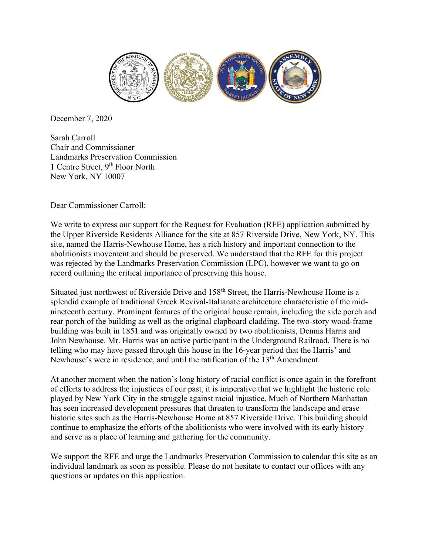

December 7, 2020

Sarah Carroll Chair and Commissioner Landmarks Preservation Commission 1 Centre Street, 9<sup>th</sup> Floor North New York, NY 10007

Dear Commissioner Carroll:

We write to express our support for the Request for Evaluation (RFE) application submitted by the Upper Riverside Residents Alliance for the site at 857 Riverside Drive, New York, NY. This site, named the Harris-Newhouse Home, has a rich history and important connection to the abolitionists movement and should be preserved. We understand that the RFE for this project was rejected by the Landmarks Preservation Commission (LPC), however we want to go on record outlining the critical importance of preserving this house.

Situated just northwest of Riverside Drive and 158<sup>th</sup> Street, the Harris-Newhouse Home is a splendid example of traditional Greek Revival-Italianate architecture characteristic of the midnineteenth century. Prominent features of the original house remain, including the side porch and rear porch of the building as well as the original clapboard cladding. The two-story wood-frame building was built in 1851 and was originally owned by two abolitionists, Dennis Harris and John Newhouse. Mr. Harris was an active participant in the Underground Railroad. There is no telling who may have passed through this house in the 16-year period that the Harris' and Newhouse's were in residence, and until the ratification of the 13<sup>th</sup> Amendment.

At another moment when the nation's long history of racial conflict is once again in the forefront of efforts to address the injustices of our past, it is imperative that we highlight the historic role played by New York City in the struggle against racial injustice. Much of Northern Manhattan has seen increased development pressures that threaten to transform the landscape and erase historic sites such as the Harris-Newhouse Home at 857 Riverside Drive. This building should continue to emphasize the efforts of the abolitionists who were involved with its early history and serve as a place of learning and gathering for the community.

We support the RFE and urge the Landmarks Preservation Commission to calendar this site as an individual landmark as soon as possible. Please do not hesitate to contact our offices with any questions or updates on this application.